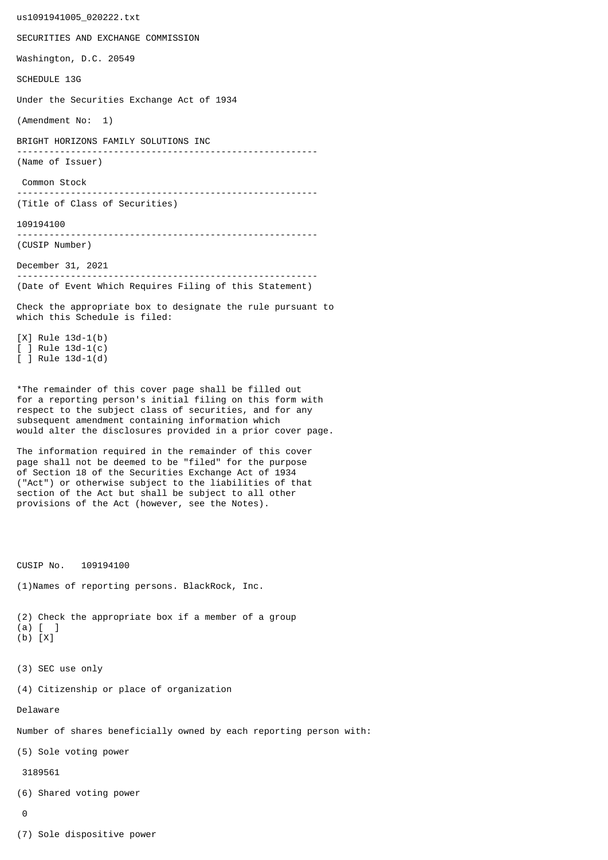us1091941005\_020222.txt SECURITIES AND EXCHANGE COMMISSION Washington, D.C. 20549 SCHEDULE 13G Under the Securities Exchange Act of 1934 (Amendment No: 1) BRIGHT HORIZONS FAMILY SOLUTIONS INC -------------------------------------------------------- (Name of Issuer) Common Stock -------------------------------------------------------- (Title of Class of Securities) 109194100 -------------------------------------------------------- (CUSIP Number) December 31, 2021 -------------------------------------------------------- (Date of Event Which Requires Filing of this Statement) Check the appropriate box to designate the rule pursuant to which this Schedule is filed: [X] Rule 13d-1(b) [ ] Rule 13d-1(c) [ ] Rule 13d-1(d) \*The remainder of this cover page shall be filled out for a reporting person's initial filing on this form with respect to the subject class of securities, and for any subsequent amendment containing information which would alter the disclosures provided in a prior cover page. The information required in the remainder of this cover page shall not be deemed to be "filed" for the purpose of Section 18 of the Securities Exchange Act of 1934 ("Act") or otherwise subject to the liabilities of that section of the Act but shall be subject to all other provisions of the Act (however, see the Notes). CUSIP No. 109194100 (1)Names of reporting persons. BlackRock, Inc. (2) Check the appropriate box if a member of a group (a) [ ] (b) [X] (3) SEC use only (4) Citizenship or place of organization Delaware Number of shares beneficially owned by each reporting person with: (5) Sole voting power 3189561 (6) Shared voting power  $\Omega$ 

(7) Sole dispositive power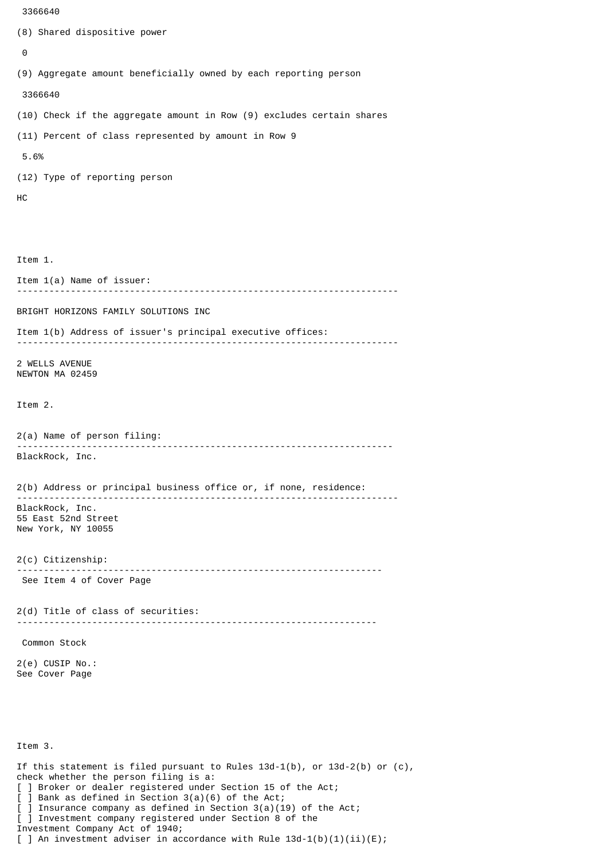```
 3366640
(8) Shared dispositive power
 \boldsymbol{\Theta}(9) Aggregate amount beneficially owned by each reporting person
  3366640
(10) Check if the aggregate amount in Row (9) excludes certain shares
(11) Percent of class represented by amount in Row 9
  5.6%
(12) Type of reporting person
HC
Item 1.
Item 1(a) Name of issuer:
                                           -----------------------------------------------------------------------
BRIGHT HORIZONS FAMILY SOLUTIONS INC
Item 1(b) Address of issuer's principal executive offices:
 -----------------------------------------------------------------------
2 WELLS AVENUE
NEWTON MA 02459
Item 2.
2(a) Name of person filing:
                ----------------------------------------------------------------------
BlackRock, Inc.
2(b) Address or principal business office or, if none, residence:
 -----------------------------------------------------------------------
BlackRock, Inc.
55 East 52nd Street
New York, NY 10055
2(c) Citizenship:
                              --------------------------------------------------------------------
  See Item 4 of Cover Page
2(d) Title of class of securities:
                                         -------------------------------------------------------------------
  Common Stock
2(e) CUSIP No.:
See Cover Page
Item 3.
```
If this statement is filed pursuant to Rules  $13d-1(b)$ , or  $13d-2(b)$  or  $(c)$ , check whether the person filing is a: [ ] Broker or dealer registered under Section 15 of the Act; [ ] Bank as defined in Section 3(a)(6) of the Act; ] Insurance company as defined in Section  $3(a)(19)$  of the Act; [ ] Investment company registered under Section 8 of the Investment Company Act of 1940;

[ ] An investment adviser in accordance with Rule  $13d-1(b)(1)(ii)(E)$ ;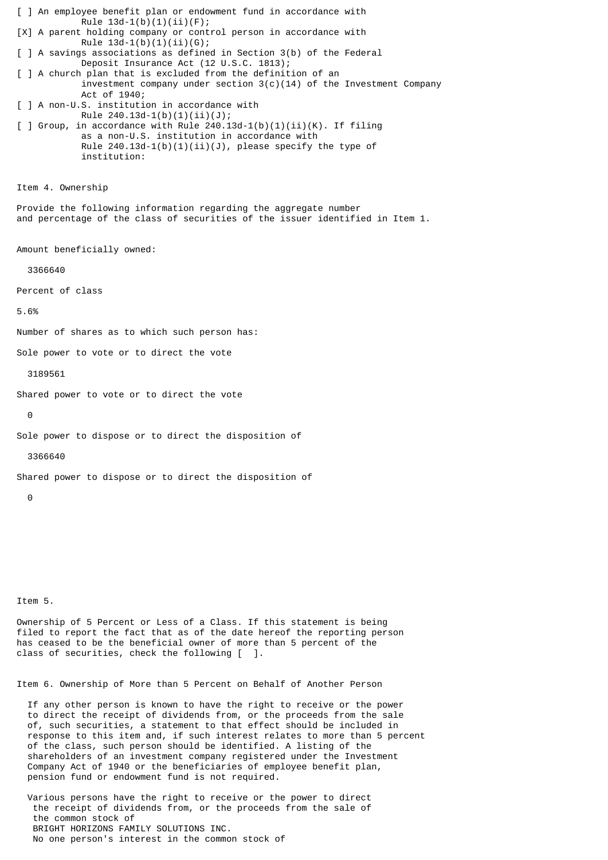[ ] An employee benefit plan or endowment fund in accordance with Rule  $13d-1(b)(1)(ii)(F);$ [X] A parent holding company or control person in accordance with Rule  $13d-1(b)(1)(ii)(G);$ [ ] A savings associations as defined in Section 3(b) of the Federal Deposit Insurance Act (12 U.S.C. 1813); [ ] A church plan that is excluded from the definition of an investment company under section  $3(c)(14)$  of the Investment Company Act of 1940; [ ] A non-U.S. institution in accordance with Rule 240.13d-1(b)(1)(ii)(J);  $\lceil$  ] Group, in accordance with Rule 240.13d-1(b)(1)(ii)(K). If filing as a non-U.S. institution in accordance with Rule  $240.13d-1(b)(1)(ii)(J)$ , please specify the type of institution: Item 4. Ownership Provide the following information regarding the aggregate number and percentage of the class of securities of the issuer identified in Item 1. Amount beneficially owned: 3366640 Percent of class 5.6% Number of shares as to which such person has: Sole power to vote or to direct the vote 3189561 Shared power to vote or to direct the vote  $\Theta$ Sole power to dispose or to direct the disposition of 3366640 Shared power to dispose or to direct the disposition of  $\Omega$ 

Item 5.

Ownership of 5 Percent or Less of a Class. If this statement is being filed to report the fact that as of the date hereof the reporting person has ceased to be the beneficial owner of more than 5 percent of the class of securities, check the following [ ].

Item 6. Ownership of More than 5 Percent on Behalf of Another Person

 If any other person is known to have the right to receive or the power to direct the receipt of dividends from, or the proceeds from the sale of, such securities, a statement to that effect should be included in response to this item and, if such interest relates to more than 5 percent of the class, such person should be identified. A listing of the shareholders of an investment company registered under the Investment Company Act of 1940 or the beneficiaries of employee benefit plan, pension fund or endowment fund is not required.

 Various persons have the right to receive or the power to direct the receipt of dividends from, or the proceeds from the sale of the common stock of BRIGHT HORIZONS FAMILY SOLUTIONS INC. No one person's interest in the common stock of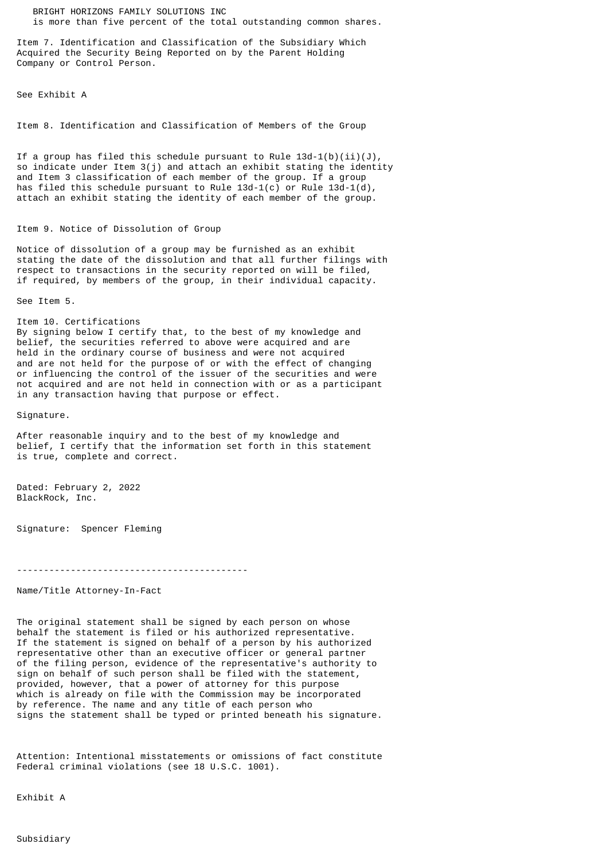BRIGHT HORIZONS FAMILY SOLUTIONS INC is more than five percent of the total outstanding common shares.

Item 7. Identification and Classification of the Subsidiary Which Acquired the Security Being Reported on by the Parent Holding Company or Control Person.

See Exhibit A

Item 8. Identification and Classification of Members of the Group

If a group has filed this schedule pursuant to Rule  $13d-1(b)(ii)(J)$ , so indicate under Item 3(j) and attach an exhibit stating the identity and Item 3 classification of each member of the group. If a group has filed this schedule pursuant to Rule  $13d-1(c)$  or Rule  $13d-1(d)$ , attach an exhibit stating the identity of each member of the group.

## Item 9. Notice of Dissolution of Group

Notice of dissolution of a group may be furnished as an exhibit stating the date of the dissolution and that all further filings with respect to transactions in the security reported on will be filed, if required, by members of the group, in their individual capacity.

See Item 5.

Item 10. Certifications By signing below I certify that, to the best of my knowledge and belief, the securities referred to above were acquired and are held in the ordinary course of business and were not acquired and are not held for the purpose of or with the effect of changing or influencing the control of the issuer of the securities and were not acquired and are not held in connection with or as a participant

in any transaction having that purpose or effect.

Signature.

After reasonable inquiry and to the best of my knowledge and belief, I certify that the information set forth in this statement is true, complete and correct.

Dated: February 2, 2022 BlackRock, Inc.

Signature: Spencer Fleming

-------------------------------------------

Name/Title Attorney-In-Fact

The original statement shall be signed by each person on whose behalf the statement is filed or his authorized representative. If the statement is signed on behalf of a person by his authorized representative other than an executive officer or general partner of the filing person, evidence of the representative's authority to sign on behalf of such person shall be filed with the statement, provided, however, that a power of attorney for this purpose which is already on file with the Commission may be incorporated by reference. The name and any title of each person who signs the statement shall be typed or printed beneath his signature.

Attention: Intentional misstatements or omissions of fact constitute Federal criminal violations (see 18 U.S.C. 1001).

Exhibit A